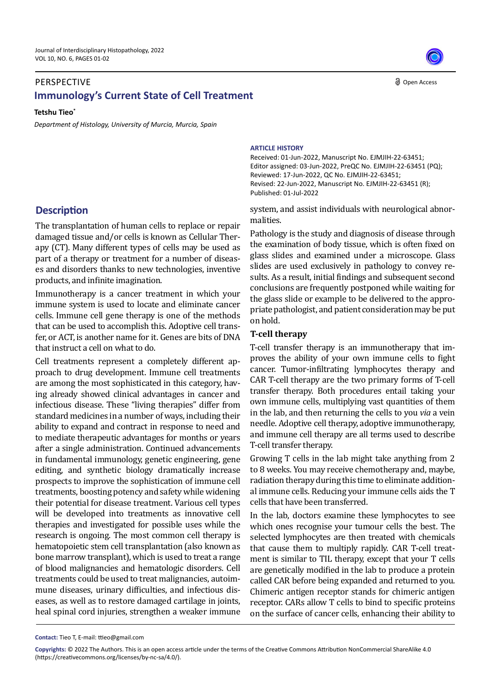## PERSPECTIVE **Immunology's Current State of Cell Treatment**

**Tetshu Tieo\***

*Department of Histology, University of Murcia, Murcia, Spain* 

# **Description**

The transplantation of human cells to replace or repair damaged tissue and/or cells is known as Cellular Therapy (CT). Many different types of cells may be used as part of a therapy or treatment for a number of diseases and disorders thanks to new technologies, inventive products, and infinite imagination.

Immunotherapy is a cancer treatment in which your immune system is used to locate and eliminate cancer cells. Immune cell gene therapy is one of the methods that can be used to accomplish this. Adoptive cell transfer, or ACT, is another name for it. Genes are bits of DNA that instruct a cell on what to do.

Cell treatments represent a completely different approach to drug development. Immune cell treatments are among the most sophisticated in this category, having already showed clinical advantages in cancer and infectious disease. These "living therapies" differ from standard medicines in a number of ways, including their ability to expand and contract in response to need and to mediate therapeutic advantages for months or years after a single administration. Continued advancements in fundamental immunology, genetic engineering, gene editing, and synthetic biology dramatically increase prospects to improve the sophistication of immune cell treatments, boosting potency and safety while widening their potential for disease treatment. Various cell types will be developed into treatments as innovative cell therapies and investigated for possible uses while the research is ongoing. The most common cell therapy is hematopoietic stem cell transplantation (also known as bone marrow transplant), which is used to treat a range of blood malignancies and hematologic disorders. Cell treatments could be used to treat malignancies, autoimmune diseases, urinary difficulties, and infectious diseases, as well as to restore damaged cartilage in joints, heal spinal cord injuries, strengthen a weaker immune

#### **ARTICLE HISTORY**

Received: 01-Jun-2022, Manuscript No. EJMJIH-22-63451; Editor assigned: 03-Jun-2022, PreQC No. EJMJIH-22-63451 (PQ); Reviewed: 17-Jun-2022, QC No. EJMJIH-22-63451; Revised: 22-Jun-2022, Manuscript No. EJMJIH-22-63451 (R); Published: 01-Jul-2022

system, and assist individuals with neurological abnormalities.

Pathology is the study and diagnosis of disease through the examination of body tissue, which is often fixed on glass slides and examined under a microscope. Glass slides are used exclusively in pathology to convey results. As a result, initial findings and subsequent second conclusions are frequently postponed while waiting for the glass slide or example to be delivered to the appropriate pathologist, and patient consideration may be put on hold.

### **T-cell therapy**

T-cell transfer therapy is an immunotherapy that improves the ability of your own immune cells to fight cancer. Tumor-infiltrating lymphocytes therapy and CAR T-cell therapy are the two primary forms of T-cell transfer therapy. Both procedures entail taking your own immune cells, multiplying vast quantities of them in the lab, and then returning the cells to you *via* a vein needle. Adoptive cell therapy, adoptive immunotherapy, and immune cell therapy are all terms used to describe T-cell transfer therapy.

Growing T cells in the lab might take anything from 2 to 8 weeks. You may receive chemotherapy and, maybe, radiation therapy during this time to eliminate additional immune cells. Reducing your immune cells aids the T cells that have been transferred.

In the lab, doctors examine these lymphocytes to see which ones recognise your tumour cells the best. The selected lymphocytes are then treated with chemicals that cause them to multiply rapidly. CAR T-cell treatment is similar to TIL therapy, except that your T cells are genetically modified in the lab to produce a protein called CAR before being expanded and returned to you. Chimeric antigen receptor stands for chimeric antigen receptor. CARs allow T cells to bind to specific proteins on the surface of cancer cells, enhancing their ability to

**Contact:** Tieo T, E-mail: ttieo@gmail.com

**Copyrights:** © 2022 The Authors. This is an open access article under the terms of the Creative Commons Attribution NonCommercial ShareAlike 4.0 (https://creativecommons.org/licenses/by-nc-sa/4.0/).